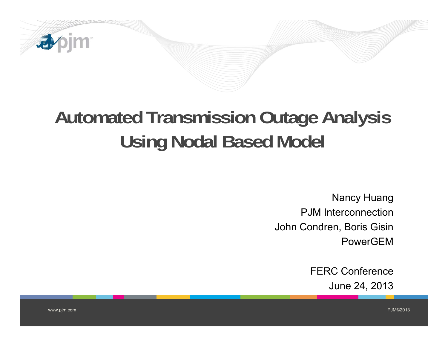

# **Automated Transmission Outage Analysis Using Nodal Based Model**

**Nancy Huang PJM** Interconnection John Condren, Boris Gisin PowerGFM

> **FERC Conference** June 24, 2013

www.pjm.com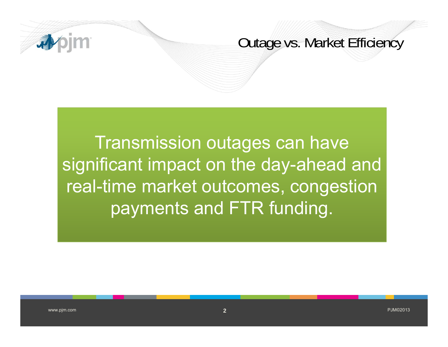

#### Outage vs. Market Efficiency

Transmission outa ges can have significant impact on the day-ahead and real-time market outcomes, con gestion payments and FTR funding.

 $\overline{\textbf{2}}$  , and the contract of the contract of the contract of the contract of the contract of the contract of the contract of the contract of the contract of the contract of the contract of the contract of the contrac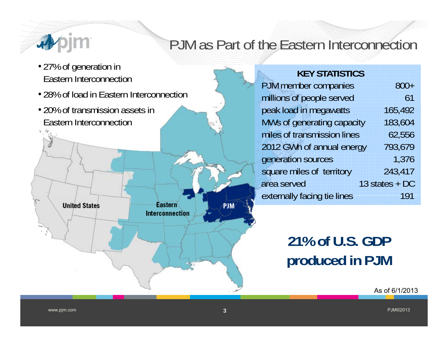

# PJM as Part of the Eastern Interconnection

• 27% of generation in **New York Constants of the Constant of the Constant of Table 27% of generation in** Eastern Interconnection

**United States** 

• 28% of load in Eastern Interconnection

Eastern

Interconnection

• 20% of transmission assets in **the peak load i** \_\_\_\_\_\_ Eastern Interconnection

| PJM member companies        | $800+$         |
|-----------------------------|----------------|
| millions of people served   | 61             |
| peak load in megawatts      | 165,492        |
| MWs of generating capacity  | 183,604        |
| miles of transmission lines | 62,556         |
| 2012 GWh of annual energy   | 793,679        |
| generation sources          | 1,376          |
| square miles of territory   | 243,417        |
| area served                 | 13 states + DC |
| externally facing tie lines | 191            |
|                             |                |

# **21% of U.S. GDP produced in PJM**

ŕіŇ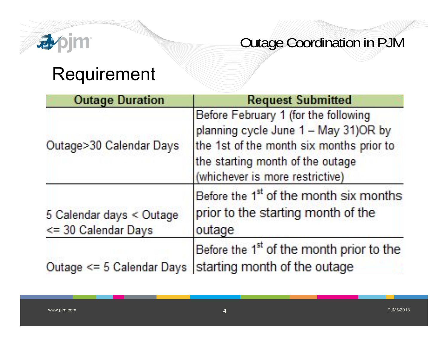

# Requirement

| <b>Outage Duration</b>                          | <b>Request Submitted</b>                                                                                                                                                                        |
|-------------------------------------------------|-------------------------------------------------------------------------------------------------------------------------------------------------------------------------------------------------|
| Outage>30 Calendar Days                         | Before February 1 (for the following<br>planning cycle June 1 - May 31)OR by<br>the 1st of the month six months prior to<br>the starting month of the outage<br>(whichever is more restrictive) |
| 5 Calendar days < Outage<br><= 30 Calendar Days | Before the 1 <sup>st</sup> of the month six months<br>prior to the starting month of the<br>outage                                                                                              |
| Outage $\leq 5$ Calendar Days                   | Before the 1 <sup>st</sup> of the month prior to the<br>starting month of the outage                                                                                                            |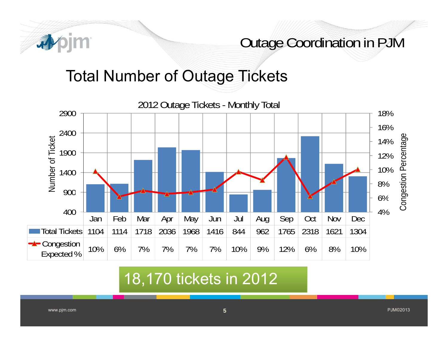

# Total Number of Outage Tickets



### 18 170 tickets in 2012 18,170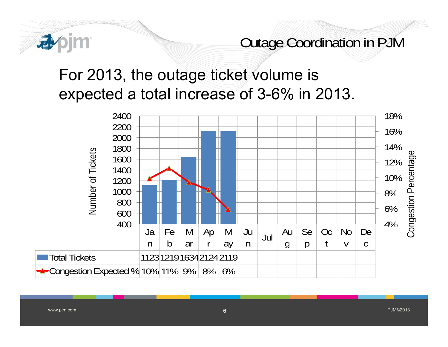

# For 2013, the outage ticket volume is expected a total increase of 3-6% in 2013.



www.pjm.com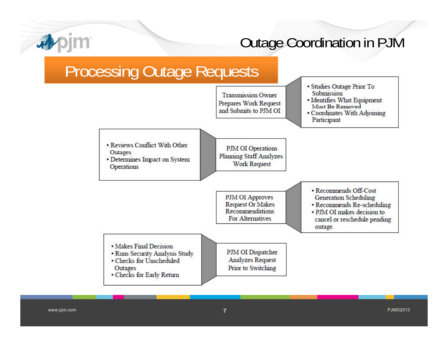

## **Processing Outage Requests**



www.pjm.com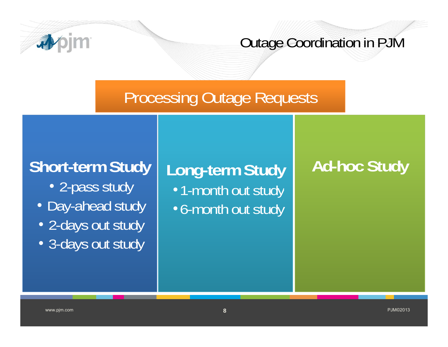

# Processing Outage Requests

# **Short-term Study**

- 2-pass study
- Day-ahead study
- 2-days out study
- 3-days out study

**Long-term Study** •1-month out study •6-month out study

# **Ad-hoc Study**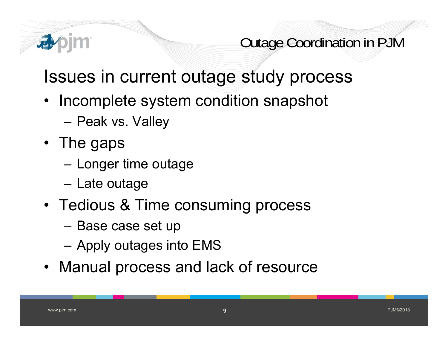

# Issues in current outage study process

- $\bullet\;$  Incomplete system condition snapshot
	- **Links of the Company** Peak vs. Valley
- $\bullet\,$  The gaps
	- –Longer time outage
	- **Links of the Company** Late outage
- Tedious & Time consuming process
	- –Base case set up
	- Apply outages into EMS
- Manual process and lack of resource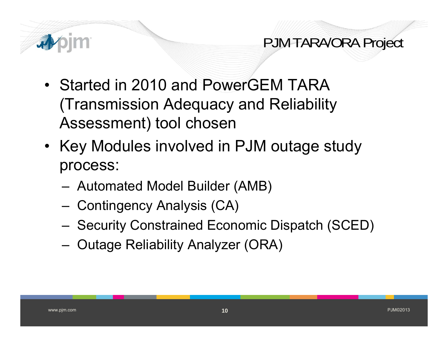

PJM TARA/ORA Project

- Started in 2010 and PowerGEM TARA (Transmission Adequacy and Reliability Assessment) tool chosen
- Key Modules involved in PJM outage study process:
	- Automated Model Builder (AMB)
	- Contingency Analysis (CA)
	- ‒– Security Constrained Economic Dispatch (SCED)
	- ‒– Outage Reliability Analyzer (ORA)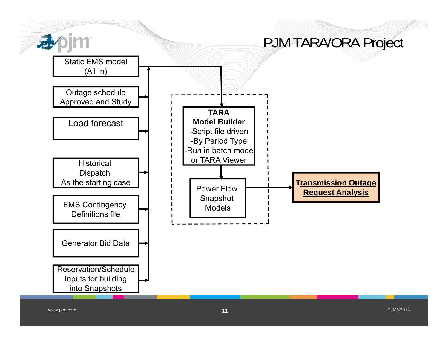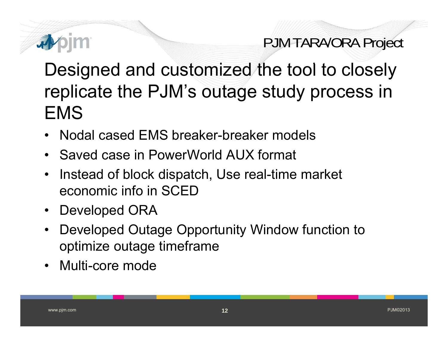

# PJM TARA/ORA Project

Designed and customized the tool to closely replicate the PJM's outage study process in EMS

- •Nodal cased EMS breaker-breaker models
- $\bullet$ • Saved case in PowerWorld AUX format
- $\bullet$  Instead of block dispatch, Use real-time market economic info in SCED
- $\bullet$ Developed ORA
- $\bullet$  Developed Outage Opportunity Window function to optimize outage timeframe
- $\bullet$ Multi-core mode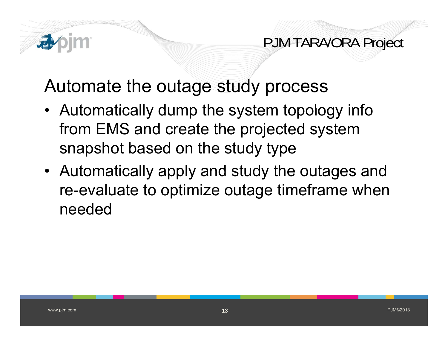

PJM TARA/ORA Project

Automate the outage study process

- Automatically dump the system topology info from EMS and create the projected system snapshot based on the study type
- Automatically apply and study the outages and re-evaluate to optimize outage timeframe when needed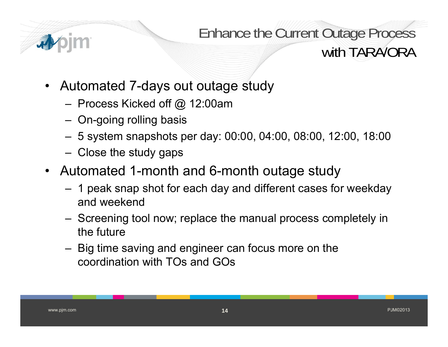

Enhance the Current Outage Process with TARA/ORA

- Automated 7-days out outage study
	- ‒ Process Kicked off @ 12:00am
	- On-going rolling basis
	- 5 system snapshots per day: 00:00, 04:00, 08:00, 12:00, 18:00
	- $-$  Close the study gaps
- Automated 1-month and 6-month outage study
	- 1 peak snap shot for each day and different cases for weekday and weekend
	- Screening tool now; replace the manual process completely in the future
	- Big time saving and engineer can focus more on the coordination with TOs and GOs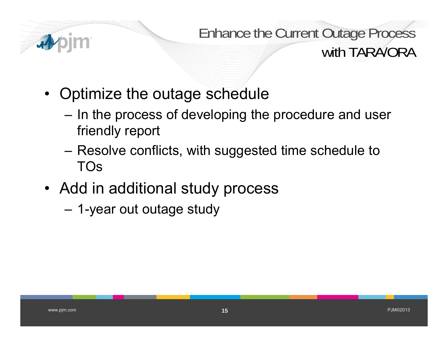

Enhance the Current Outage Process with TARA/ORA

- Optimize the outage schedule
	- ‒– In the process of developing the procedure and user friendly report
	- ‒ $-$  Resolve conflicts, with suggested time schedule to TOs
- Add in additional stud y process
	- ‒1-year out outage study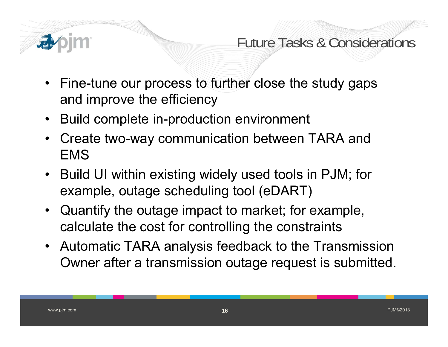

Future Tasks & Considerations

- Fine-tune our process to further close the study gaps and improve the efficiency
- Build complete in-production environment
- $\bullet$  Create two-way communication between TARA and EMS
- Build UI within existing widely used tools in PJM; for example, outage scheduling tool (eDART)
- Quantify the outage impact to market; for example, calculate the cost for controlling the constraints
- Automatic TARA analysis feedback to the Transmission Owner after a transmission outage request is submitted.